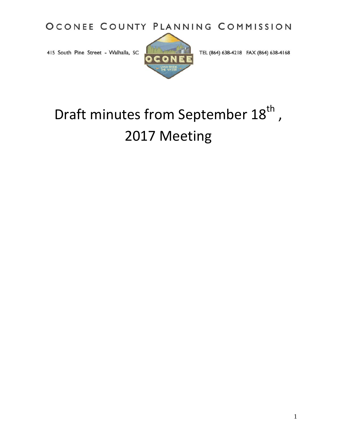OCONEE COUNTY PLANNING COMMISSION

415 South Pine Street - Walhalla, SC



TEL (864) 638-4218 FAX (864) 638-4168

# Draft minutes from September 18<sup>th</sup>, 2017 Meeting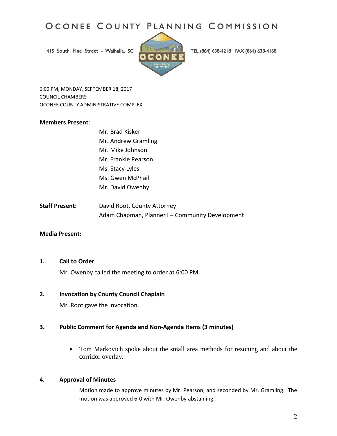# OCONEE COUNTY PLANNING COMMISSION

415 South Pine Street - Walhalla, SC



TEL (864) 638-4218 FAX (864) 638-4168

6:00 PM**,** MONDAY, SEPTEMBER 18, 2017 COUNCIL CHAMBERS OCONEE COUNTY ADMINISTRATIVE COMPLEX

#### **Members Present**:

- Mr. Brad Kisker Mr. Andrew Gramling Mr. Mike Johnson Mr. Frankie Pearson Ms. Stacy Lyles Ms. Gwen McPhail Mr. David Owenby
- **Staff Present:** David Root, County Attorney Adam Chapman, Planner I – Community Development

#### **Media Present:**

#### **1. Call to Order**

Mr. Owenby called the meeting to order at 6:00 PM.

## **2. Invocation by County Council Chaplain**

Mr. Root gave the invocation.

#### **3. Public Comment for Agenda and Non-Agenda Items (3 minutes)**

**•** Tom Markovich spoke about the small area methods for rezoning and about the corridor overlay.

#### **4. Approval of Minutes**

Motion made to approve minutes by Mr. Pearson, and seconded by Mr. Gramling. The motion was approved 6-0 with Mr. Owenby abstaining.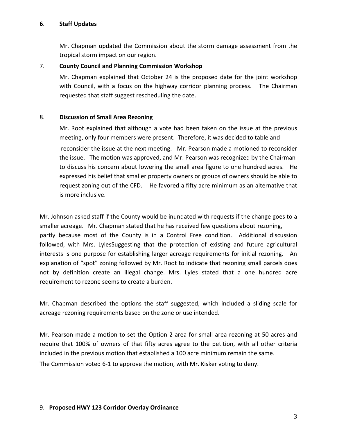## **6**. **Staff Updates**

Mr. Chapman updated the Commission about the storm damage assessment from the tropical storm impact on our region.

# 7. **County Council and Planning Commission Workshop**

Mr. Chapman explained that October 24 is the proposed date for the joint workshop with Council, with a focus on the highway corridor planning process. The Chairman requested that staff suggest rescheduling the date.

## 8. **Discussion of Small Area Rezoning**

Mr. Root explained that although a vote had been taken on the issue at the previous meeting, only four members were present. Therefore, it was decided to table and reconsider the issue at the next meeting. Mr. Pearson made a motioned to reconsider the issue. The motion was approved, and Mr. Pearson was recognized by the Chairman to discuss his concern about lowering the small area figure to one hundred acres. He expressed his belief that smaller property owners or groups of owners should be able to request zoning out of the CFD. He favored a fifty acre minimum as an alternative that is more inclusive.

Mr. Johnson asked staff if the County would be inundated with requests if the change goes to a smaller acreage. Mr. Chapman stated that he has received few questions about rezoning, partly because most of the County is in a Control Free condition. Additional discussion followed, with Mrs. LylesSuggesting that the protection of existing and future agricultural interests is one purpose for establishing larger acreage requirements for initial rezoning. An explanation of "spot" zoning followed by Mr. Root to indicate that rezoning small parcels does not by definition create an illegal change. Mrs. Lyles stated that a one hundred acre requirement to rezone seems to create a burden.

Mr. Chapman described the options the staff suggested, which included a sliding scale for acreage rezoning requirements based on the zone or use intended.

Mr. Pearson made a motion to set the Option 2 area for small area rezoning at 50 acres and require that 100% of owners of that fifty acres agree to the petition, with all other criteria included in the previous motion that established a 100 acre minimum remain the same.

The Commission voted 6-1 to approve the motion, with Mr. Kisker voting to deny.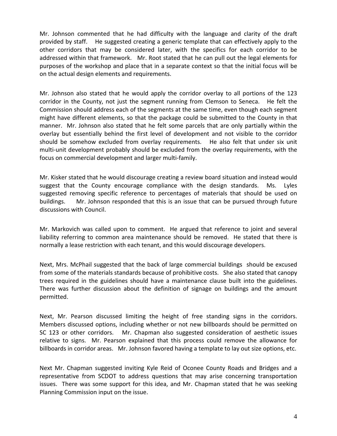Mr. Johnson commented that he had difficulty with the language and clarity of the draft provided by staff. He suggested creating a generic template that can effectively apply to the other corridors that may be considered later, with the specifics for each corridor to be addressed within that framework. Mr. Root stated that he can pull out the legal elements for purposes of the workshop and place that in a separate context so that the initial focus will be on the actual design elements and requirements.

Mr. Johnson also stated that he would apply the corridor overlay to all portions of the 123 corridor in the County, not just the segment running from Clemson to Seneca. He felt the Commission should address each of the segments at the same time, even though each segment might have different elements, so that the package could be submitted to the County in that manner. Mr. Johnson also stated that he felt some parcels that are only partially within the overlay but essentially behind the first level of development and not visible to the corridor should be somehow excluded from overlay requirements. He also felt that under six unit multi-unit development probably should be excluded from the overlay requirements, with the focus on commercial development and larger multi-family.

Mr. Kisker stated that he would discourage creating a review board situation and instead would suggest that the County encourage compliance with the design standards. Ms. Lyles suggested removing specific reference to percentages of materials that should be used on buildings. Mr. Johnson responded that this is an issue that can be pursued through future discussions with Council.

Mr. Markovich was called upon to comment. He argued that reference to joint and several liability referring to common area maintenance should be removed. He stated that there is normally a lease restriction with each tenant, and this would discourage developers.

Next, Mrs. McPhail suggested that the back of large commercial buildings should be excused from some of the materials standards because of prohibitive costs. She also stated that canopy trees required in the guidelines should have a maintenance clause built into the guidelines. There was further discussion about the definition of signage on buildings and the amount permitted.

Next, Mr. Pearson discussed limiting the height of free standing signs in the corridors. Members discussed options, including whether or not new billboards should be permitted on SC 123 or other corridors. Mr. Chapman also suggested consideration of aesthetic issues relative to signs. Mr. Pearson explained that this process could remove the allowance for billboards in corridor areas. Mr. Johnson favored having a template to lay out size options, etc.

Next Mr. Chapman suggested inviting Kyle Reid of Oconee County Roads and Bridges and a representative from SCDOT to address questions that may arise concerning transportation issues. There was some support for this idea, and Mr. Chapman stated that he was seeking Planning Commission input on the issue.